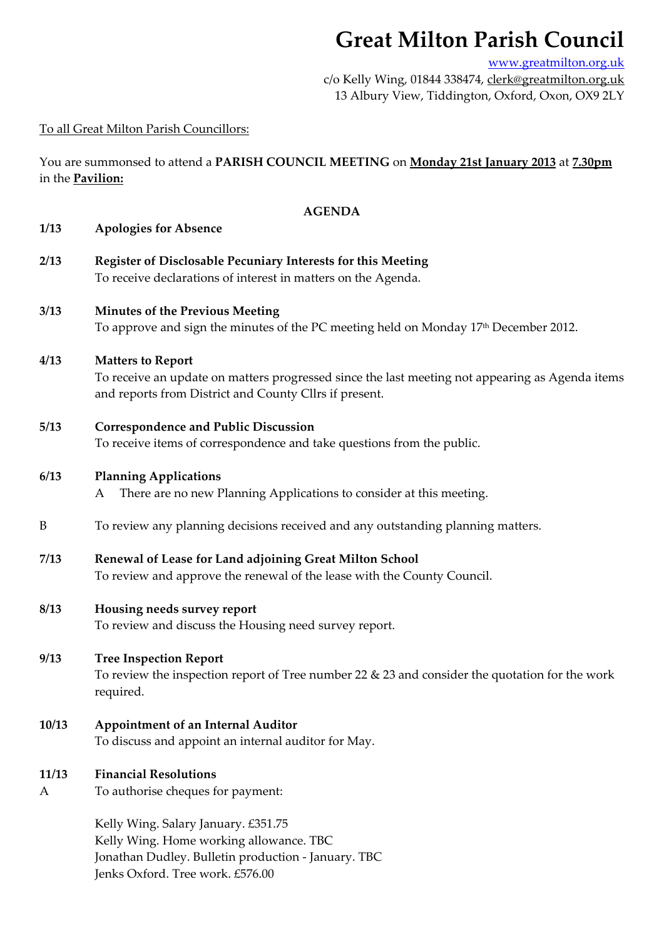# **Great Milton Parish Council**

www.greatmilton.org.uk

c/o Kelly Wing, 01844 338474, clerk@greatmilton.org.uk 13 Albury View, Tiddington, Oxford, Oxon, OX9 2LY

# To all Great Milton Parish Councillors:

You are summonsed to attend a **PARISH COUNCIL MEETING** on **Monday 21st January 2013** at **7.30pm** in the **Pavilion:**

### **AGENDA**

#### **1/13 Apologies for Absence**

**2/13 Register of Disclosable Pecuniary Interests for this Meeting** To receive declarations of interest in matters on the Agenda.

# **3/13 Minutes of the Previous Meeting**  To approve and sign the minutes of the PC meeting held on Monday 17<sup>th</sup> December 2012.

#### **4/13 Matters to Report**

To receive an update on matters progressed since the last meeting not appearing as Agenda items and reports from District and County Cllrs if present.

**5/13 Correspondence and Public Discussion**

To receive items of correspondence and take questions from the public.

#### **6/13 Planning Applications**

A There are no new Planning Applications to consider at this meeting.

- B To review any planning decisions received and any outstanding planning matters.
- **7/13 Renewal of Lease for Land adjoining Great Milton School** To review and approve the renewal of the lease with the County Council.

#### **8/13 Housing needs survey report**

To review and discuss the Housing need survey report.

# **9/13 Tree Inspection Report**

To review the inspection report of Tree number 22 & 23 and consider the quotation for the work required.

# **10/13 Appointment of an Internal Auditor**

To discuss and appoint an internal auditor for May.

### **11/13 Financial Resolutions**

A To authorise cheques for payment:

Kelly Wing. Salary January. £351.75 Kelly Wing. Home working allowance. TBC Jonathan Dudley. Bulletin production ‐ January. TBC Jenks Oxford. Tree work. £576.00